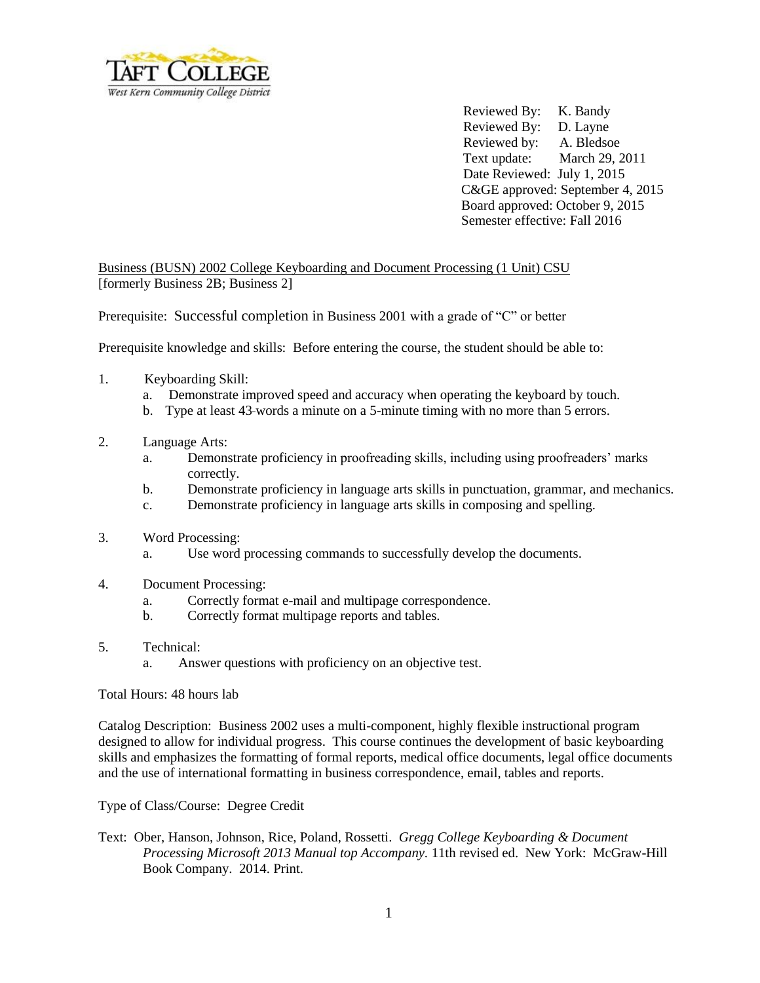

Reviewed By: K. Bandy Reviewed By: D. Layne Reviewed by: A. Bledsoe Text update: March 29, 2011 Date Reviewed: July 1, 2015 C&GE approved: September 4, 2015 Board approved: October 9, 2015 Semester effective: Fall 2016

Business (BUSN) 2002 College Keyboarding and Document Processing (1 Unit) CSU [formerly Business 2B; Business 2]

Prerequisite: Successful completion in Business 2001 with a grade of "C" or better

Prerequisite knowledge and skills: Before entering the course, the student should be able to:

- 1. Keyboarding Skill:
	- a. Demonstrate improved speed and accuracy when operating the keyboard by touch.
	- b. Type at least 43 words a minute on a 5-minute timing with no more than 5 errors.
- 2. Language Arts:
	- a. Demonstrate proficiency in proofreading skills, including using proofreaders' marks correctly.
	- b. Demonstrate proficiency in language arts skills in punctuation, grammar, and mechanics.
	- c. Demonstrate proficiency in language arts skills in composing and spelling.
- 3. Word Processing:
	- a. Use word processing commands to successfully develop the documents.
- 4. Document Processing:
	- a. Correctly format e-mail and multipage correspondence.
	- b. Correctly format multipage reports and tables.
- 5. Technical:
	- a. Answer questions with proficiency on an objective test.

Total Hours: 48 hours lab

Catalog Description: Business 2002 uses a multi-component, highly flexible instructional program designed to allow for individual progress. This course continues the development of basic keyboarding skills and emphasizes the formatting of formal reports, medical office documents, legal office documents and the use of international formatting in business correspondence, email, tables and reports.

Type of Class/Course: Degree Credit

Text: Ober, Hanson, Johnson, Rice, Poland, Rossetti. *Gregg College Keyboarding & Document Processing Microsoft 2013 Manual top Accompany.* 11th revised ed. New York: McGraw-Hill Book Company. 2014. Print.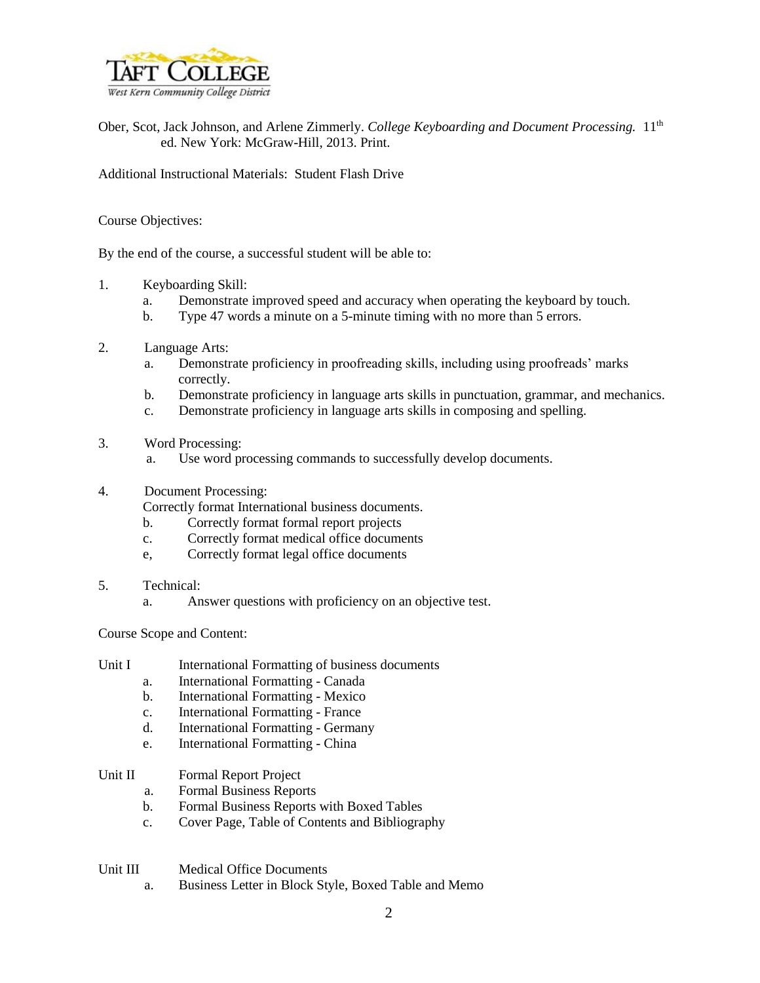

Ober, Scot, Jack Johnson, and Arlene Zimmerly. *College Keyboarding and Document Processing.* 11th ed. New York: McGraw-Hill, 2013. Print.

Additional Instructional Materials: Student Flash Drive

Course Objectives:

By the end of the course, a successful student will be able to:

- 1. Keyboarding Skill:
	- a. Demonstrate improved speed and accuracy when operating the keyboard by touch.
	- b. Type 47 words a minute on a 5-minute timing with no more than 5 errors.
- 2. Language Arts:
	- a. Demonstrate proficiency in proofreading skills, including using proofreads' marks correctly.
	- b. Demonstrate proficiency in language arts skills in punctuation, grammar, and mechanics.
	- c. Demonstrate proficiency in language arts skills in composing and spelling.
- 3. Word Processing:
	- a. Use word processing commands to successfully develop documents.
- 4. Document Processing:
	- Correctly format International business documents.
	- b. Correctly format formal report projects
	- c. Correctly format medical office documents
	- e, Correctly format legal office documents
- 5. Technical:
	- a. Answer questions with proficiency on an objective test.

Course Scope and Content:

- Unit I International Formatting of business documents
	- a. International Formatting Canada
	- b. International Formatting Mexico
	- c. International Formatting France
	- d. International Formatting Germany
	- e. International Formatting China

## Unit II Formal Report Project

- a. Formal Business Reports
- b. Formal Business Reports with Boxed Tables
- c. Cover Page, Table of Contents and Bibliography

Unit III Medical Office Documents

a. Business Letter in Block Style, Boxed Table and Memo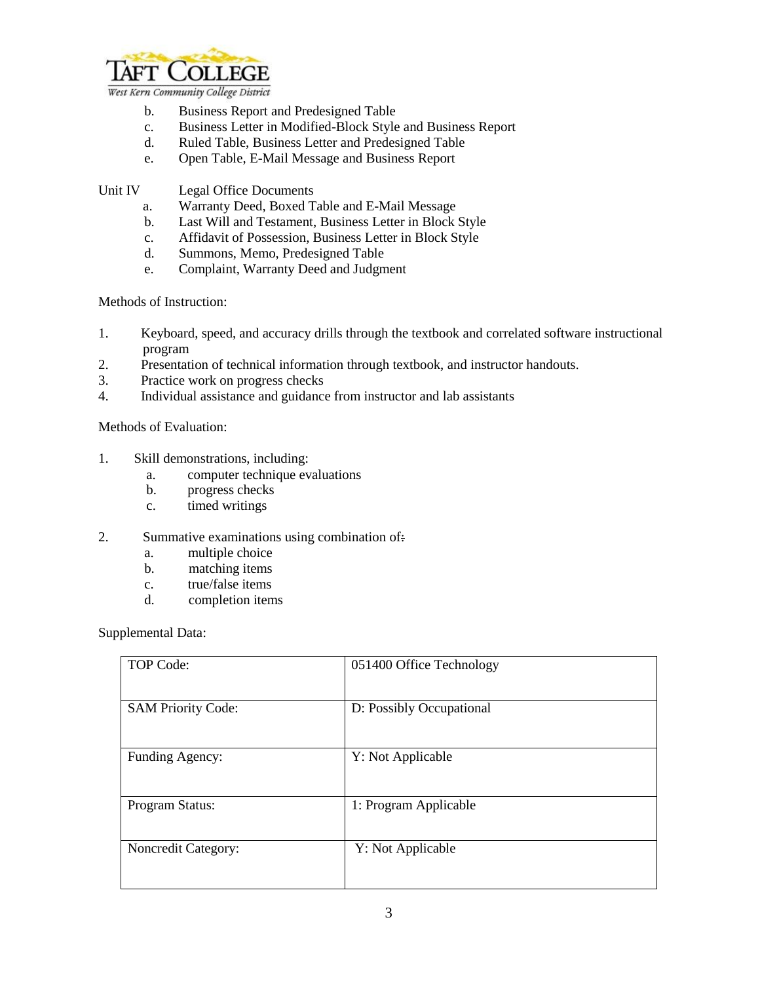

West Kern Community College District

- b. Business Report and Predesigned Table
- c. Business Letter in Modified-Block Style and Business Report
- d. Ruled Table, Business Letter and Predesigned Table
- e. Open Table, E-Mail Message and Business Report

Unit IV Legal Office Documents

- a. Warranty Deed, Boxed Table and E-Mail Message
- b. Last Will and Testament, Business Letter in Block Style
- c. Affidavit of Possession, Business Letter in Block Style
- d. Summons, Memo, Predesigned Table
- e. Complaint, Warranty Deed and Judgment

Methods of Instruction:

- 1. Keyboard, speed, and accuracy drills through the textbook and correlated software instructional program
- 2. Presentation of technical information through textbook, and instructor handouts.
- 3. Practice work on progress checks
- 4. Individual assistance and guidance from instructor and lab assistants

Methods of Evaluation:

- 1. Skill demonstrations, including:
	- a. computer technique evaluations
	- b. progress checks
	- c. timed writings
- 2. Summative examinations using combination of:
	- a. multiple choice
	- b. matching items
	- c. true/false items
	- d. completion items

Supplemental Data:

| TOP Code:                  | 051400 Office Technology |
|----------------------------|--------------------------|
| <b>SAM Priority Code:</b>  | D: Possibly Occupational |
| Funding Agency:            | Y: Not Applicable        |
| Program Status:            | 1: Program Applicable    |
| <b>Noncredit Category:</b> | Y: Not Applicable        |